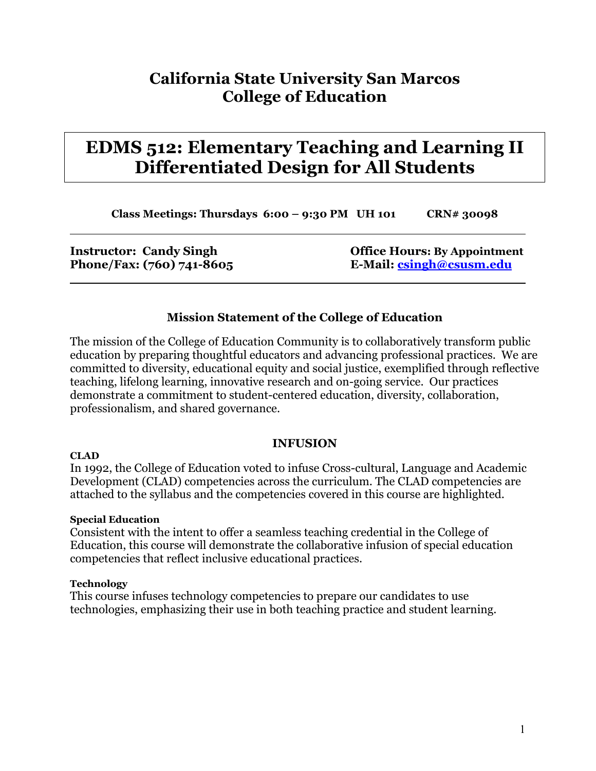# **California State University San Marcos College of Education**

# **EDMS 512: Elementary Teaching and Learning II Differentiated Design for All Students**

**Class Meetings: Thursdays 6:00 – 9:30 PM UH 101 CRN# 30098**

**Instructor: Candy Singh Community Community Community Community Community Community Community Community Community Community Community Community Community Community Community Community Community Community Community Communi Phone/Fax: (760) 741-8605 E-Mail: [csingh@csusm.edu](mailto:csingh@sdcoe.k12.ca.us)**

## **Mission Statement of the College of Education**

The mission of the College of Education Community is to collaboratively transform public education by preparing thoughtful educators and advancing professional practices. We are committed to diversity, educational equity and social justice, exemplified through reflective teaching, lifelong learning, innovative research and on-going service. Our practices demonstrate a commitment to student-centered education, diversity, collaboration, professionalism, and shared governance.

#### **INFUSION**

In 1992, the College of Education voted to infuse Cross-cultural, Language and Academic Development (CLAD) competencies across the curriculum. The CLAD competencies are attached to the syllabus and the competencies covered in this course are highlighted.

#### **Special Education**

Consistent with the intent to offer a seamless teaching credential in the College of Education, this course will demonstrate the collaborative infusion of special education competencies that reflect inclusive educational practices.

#### **Technology**

**CLAD** 

This course infuses technology competencies to prepare our candidates to use technologies, emphasizing their use in both teaching practice and student learning.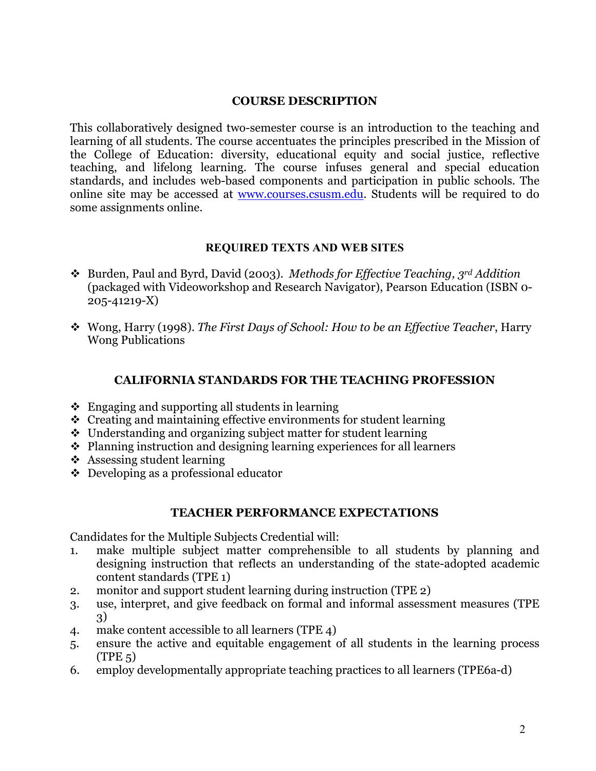### **COURSE DESCRIPTION**

This collaboratively designed two-semester course is an introduction to the teaching and learning of all students. The course accentuates the principles prescribed in the Mission of the College of Education: diversity, educational equity and social justice, reflective teaching, and lifelong learning. The course infuses general and special education standards, and includes web-based components and participation in public schools. The online site may be accessed at [www.courses.csusm.edu.](http://www.courses.csusm.edu/) Students will be required to do some assignments online.

#### **REQUIRED TEXTS AND WEB SITES**

- Burden, Paul and Byrd, David (2003). *Methods for Effective Teaching, 3rd Addition* (packaged with Videoworkshop and Research Navigator), Pearson Education (ISBN 0- 205-41219-X)
- Wong, Harry (1998). *The First Days of School: How to be an Effective Teacher*, Harry Wong Publications

#### **CALIFORNIA STANDARDS FOR THE TEACHING PROFESSION**

- $\triangle$  Engaging and supporting all students in learning
- $\triangle$  Creating and maintaining effective environments for student learning
- Understanding and organizing subject matter for student learning
- $\triangle$  Planning instruction and designing learning experiences for all learners
- $\triangle$  Assessing student learning
- Developing as a professional educator

#### **TEACHER PERFORMANCE EXPECTATIONS**

Candidates for the Multiple Subjects Credential will:

- 1. make multiple subject matter comprehensible to all students by planning and designing instruction that reflects an understanding of the state-adopted academic content standards (TPE 1)
- 2. monitor and support student learning during instruction (TPE 2)
- 3. use, interpret, and give feedback on formal and informal assessment measures (TPE 3)
- 4. make content accessible to all learners (TPE 4)
- 5. ensure the active and equitable engagement of all students in the learning process  $(TPE<sub>5</sub>)$
- 6. employ developmentally appropriate teaching practices to all learners (TPE6a-d)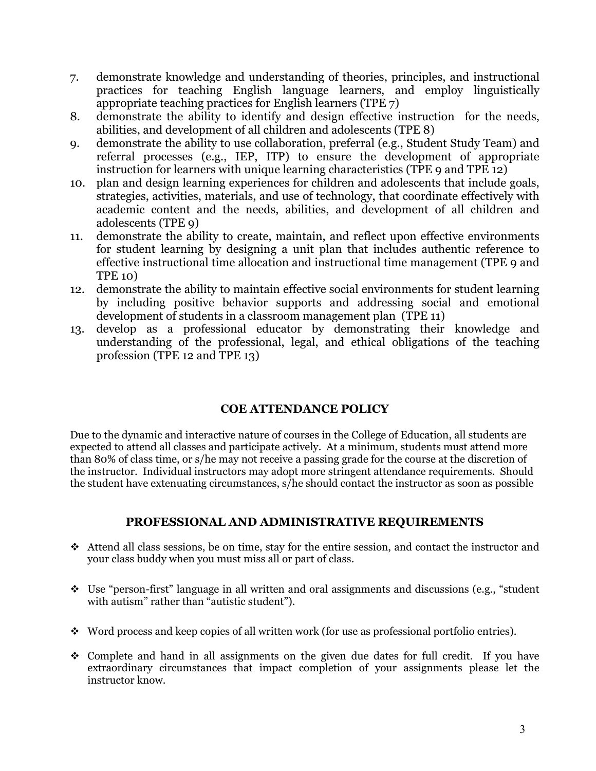- 7. demonstrate knowledge and understanding of theories, principles, and instructional practices for teaching English language learners, and employ linguistically appropriate teaching practices for English learners (TPE 7)
- 8. demonstrate the ability to identify and design effective instruction for the needs, abilities, and development of all children and adolescents (TPE 8)
- 9. demonstrate the ability to use collaboration, preferral (e.g., Student Study Team) and referral processes (e.g., IEP, ITP) to ensure the development of appropriate instruction for learners with unique learning characteristics (TPE 9 and TPE 12)
- 10. plan and design learning experiences for children and adolescents that include goals, strategies, activities, materials, and use of technology, that coordinate effectively with academic content and the needs, abilities, and development of all children and adolescents (TPE 9)
- 11. demonstrate the ability to create, maintain, and reflect upon effective environments for student learning by designing a unit plan that includes authentic reference to effective instructional time allocation and instructional time management (TPE 9 and TPE 10)
- 12. demonstrate the ability to maintain effective social environments for student learning by including positive behavior supports and addressing social and emotional development of students in a classroom management plan (TPE 11)
- 13. develop as a professional educator by demonstrating their knowledge and understanding of the professional, legal, and ethical obligations of the teaching profession (TPE 12 and TPE 13)

## **COE ATTENDANCE POLICY**

Due to the dynamic and interactive nature of courses in the College of Education, all students are expected to attend all classes and participate actively. At a minimum, students must attend more than 80% of class time, or s/he may not receive a passing grade for the course at the discretion of the instructor. Individual instructors may adopt more stringent attendance requirements. Should the student have extenuating circumstances, s/he should contact the instructor as soon as possible

### **PROFESSIONAL AND ADMINISTRATIVE REQUIREMENTS**

- $\triangleleft$  Attend all class sessions, be on time, stay for the entire session, and contact the instructor and your class buddy when you must miss all or part of class.
- Use "person-first" language in all written and oral assignments and discussions (e.g., "student with autism" rather than "autistic student").
- Word process and keep copies of all written work (for use as professional portfolio entries).
- $\div$  Complete and hand in all assignments on the given due dates for full credit. If you have extraordinary circumstances that impact completion of your assignments please let the instructor know.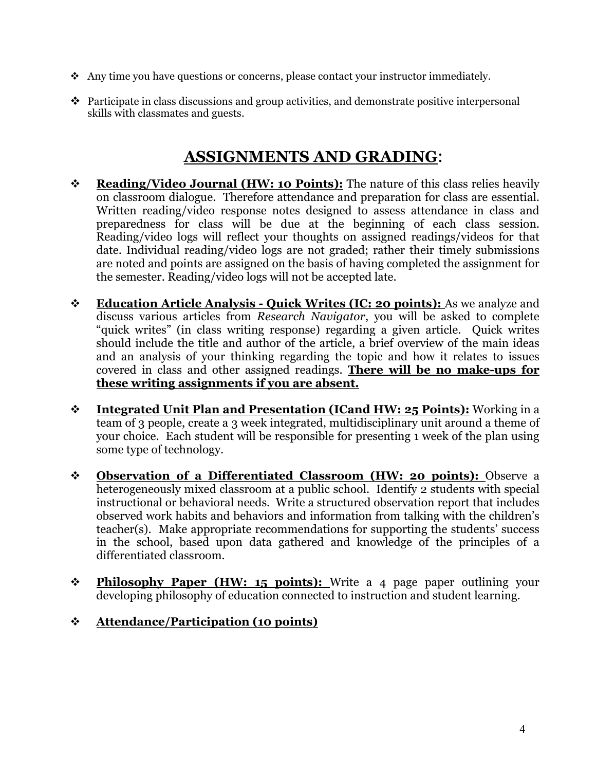- Any time you have questions or concerns, please contact your instructor immediately.
- Participate in class discussions and group activities, and demonstrate positive interpersonal skills with classmates and guests.

# **ASSIGNMENTS AND GRADING**:

- **Reading/Video Journal (HW: 10 Points):** The nature of this class relies heavily on classroom dialogue. Therefore attendance and preparation for class are essential. Written reading/video response notes designed to assess attendance in class and preparedness for class will be due at the beginning of each class session. Reading/video logs will reflect your thoughts on assigned readings/videos for that date. Individual reading/video logs are not graded; rather their timely submissions are noted and points are assigned on the basis of having completed the assignment for the semester. Reading/video logs will not be accepted late.
- **Education Article Analysis Quick Writes (IC: 20 points):** As we analyze and discuss various articles from *Research Navigator*, you will be asked to complete "quick writes" (in class writing response) regarding a given article. Quick writes should include the title and author of the article, a brief overview of the main ideas and an analysis of your thinking regarding the topic and how it relates to issues covered in class and other assigned readings. **There will be no make-ups for these writing assignments if you are absent.**
- **Integrated Unit Plan and Presentation (ICand HW: 25 Points):** Working in a team of 3 people, create a 3 week integrated, multidisciplinary unit around a theme of your choice. Each student will be responsible for presenting 1 week of the plan using some type of technology.
- **Observation of a Differentiated Classroom (HW: 20 points):** Observe a heterogeneously mixed classroom at a public school. Identify 2 students with special instructional or behavioral needs. Write a structured observation report that includes observed work habits and behaviors and information from talking with the children's teacher(s). Make appropriate recommendations for supporting the students' success in the school, based upon data gathered and knowledge of the principles of a differentiated classroom.
- **Example 10** Paper (HW: 15 points): Write a 4 page paper outlining your developing philosophy of education connected to instruction and student learning.

## **Attendance/Participation (10 points)**